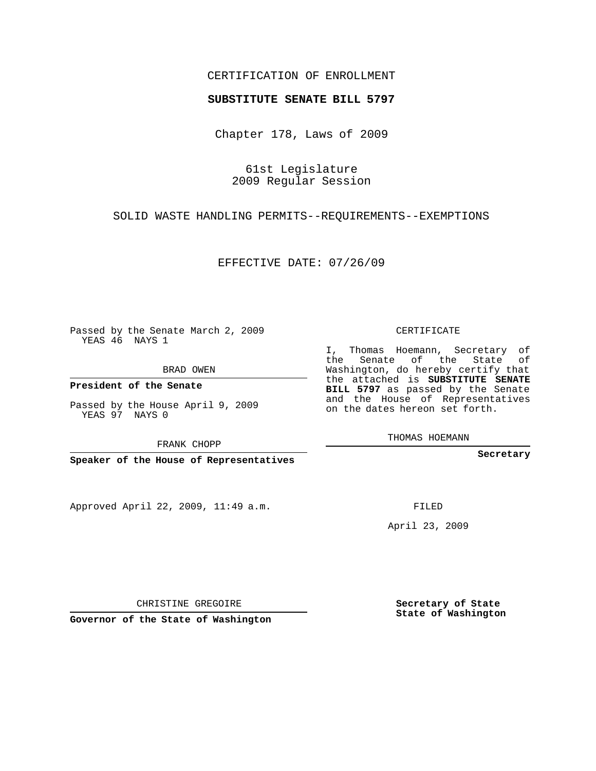## CERTIFICATION OF ENROLLMENT

## **SUBSTITUTE SENATE BILL 5797**

Chapter 178, Laws of 2009

61st Legislature 2009 Regular Session

SOLID WASTE HANDLING PERMITS--REQUIREMENTS--EXEMPTIONS

EFFECTIVE DATE: 07/26/09

Passed by the Senate March 2, 2009 YEAS 46 NAYS 1

BRAD OWEN

**President of the Senate**

Passed by the House April 9, 2009 YEAS 97 NAYS 0

FRANK CHOPP

**Speaker of the House of Representatives**

Approved April 22, 2009, 11:49 a.m.

CERTIFICATE

I, Thomas Hoemann, Secretary of the Senate of the State of Washington, do hereby certify that the attached is **SUBSTITUTE SENATE BILL 5797** as passed by the Senate and the House of Representatives on the dates hereon set forth.

THOMAS HOEMANN

**Secretary**

FILED

April 23, 2009

**Secretary of State State of Washington**

CHRISTINE GREGOIRE

**Governor of the State of Washington**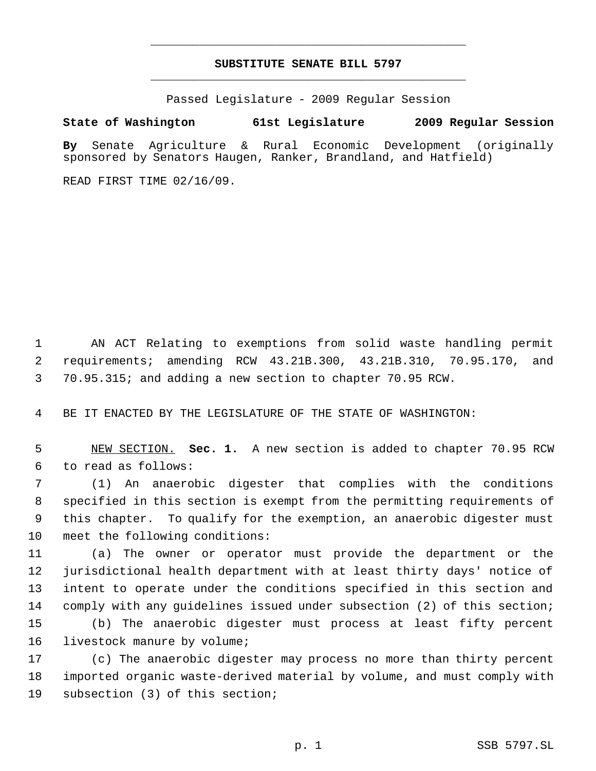## **SUBSTITUTE SENATE BILL 5797** \_\_\_\_\_\_\_\_\_\_\_\_\_\_\_\_\_\_\_\_\_\_\_\_\_\_\_\_\_\_\_\_\_\_\_\_\_\_\_\_\_\_\_\_\_

\_\_\_\_\_\_\_\_\_\_\_\_\_\_\_\_\_\_\_\_\_\_\_\_\_\_\_\_\_\_\_\_\_\_\_\_\_\_\_\_\_\_\_\_\_

Passed Legislature - 2009 Regular Session

## **State of Washington 61st Legislature 2009 Regular Session**

**By** Senate Agriculture & Rural Economic Development (originally sponsored by Senators Haugen, Ranker, Brandland, and Hatfield)

READ FIRST TIME 02/16/09.

 AN ACT Relating to exemptions from solid waste handling permit requirements; amending RCW 43.21B.300, 43.21B.310, 70.95.170, and 70.95.315; and adding a new section to chapter 70.95 RCW.

BE IT ENACTED BY THE LEGISLATURE OF THE STATE OF WASHINGTON:

 NEW SECTION. **Sec. 1.** A new section is added to chapter 70.95 RCW to read as follows:

 (1) An anaerobic digester that complies with the conditions specified in this section is exempt from the permitting requirements of this chapter. To qualify for the exemption, an anaerobic digester must meet the following conditions:

 (a) The owner or operator must provide the department or the jurisdictional health department with at least thirty days' notice of intent to operate under the conditions specified in this section and comply with any guidelines issued under subsection (2) of this section; (b) The anaerobic digester must process at least fifty percent

16 livestock manure by volume;

 (c) The anaerobic digester may process no more than thirty percent imported organic waste-derived material by volume, and must comply with subsection (3) of this section;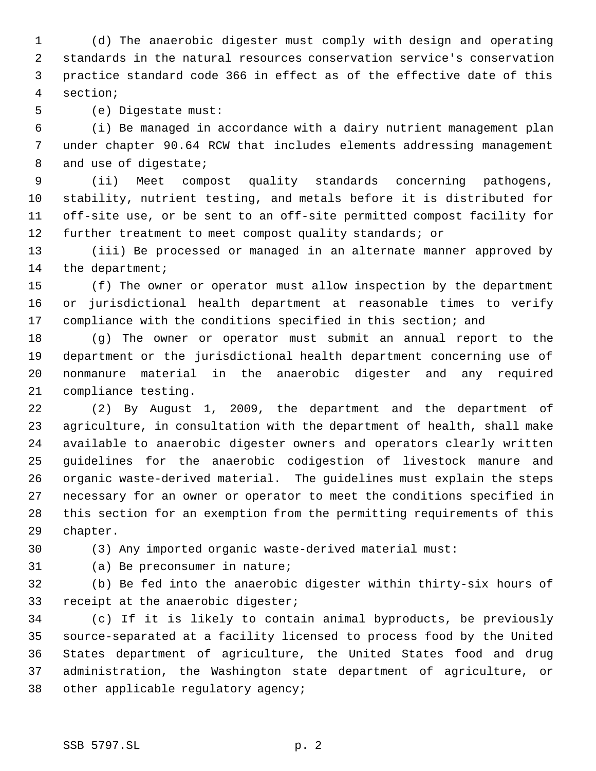(d) The anaerobic digester must comply with design and operating standards in the natural resources conservation service's conservation practice standard code 366 in effect as of the effective date of this section;

(e) Digestate must:

 (i) Be managed in accordance with a dairy nutrient management plan under chapter 90.64 RCW that includes elements addressing management 8 and use of digestate;

 (ii) Meet compost quality standards concerning pathogens, stability, nutrient testing, and metals before it is distributed for off-site use, or be sent to an off-site permitted compost facility for further treatment to meet compost quality standards; or

 (iii) Be processed or managed in an alternate manner approved by 14 the department;

 (f) The owner or operator must allow inspection by the department or jurisdictional health department at reasonable times to verify compliance with the conditions specified in this section; and

 (g) The owner or operator must submit an annual report to the department or the jurisdictional health department concerning use of nonmanure material in the anaerobic digester and any required compliance testing.

 (2) By August 1, 2009, the department and the department of agriculture, in consultation with the department of health, shall make available to anaerobic digester owners and operators clearly written guidelines for the anaerobic codigestion of livestock manure and organic waste-derived material. The guidelines must explain the steps necessary for an owner or operator to meet the conditions specified in this section for an exemption from the permitting requirements of this chapter.

(3) Any imported organic waste-derived material must:

(a) Be preconsumer in nature;

 (b) Be fed into the anaerobic digester within thirty-six hours of receipt at the anaerobic digester;

 (c) If it is likely to contain animal byproducts, be previously source-separated at a facility licensed to process food by the United States department of agriculture, the United States food and drug administration, the Washington state department of agriculture, or other applicable regulatory agency;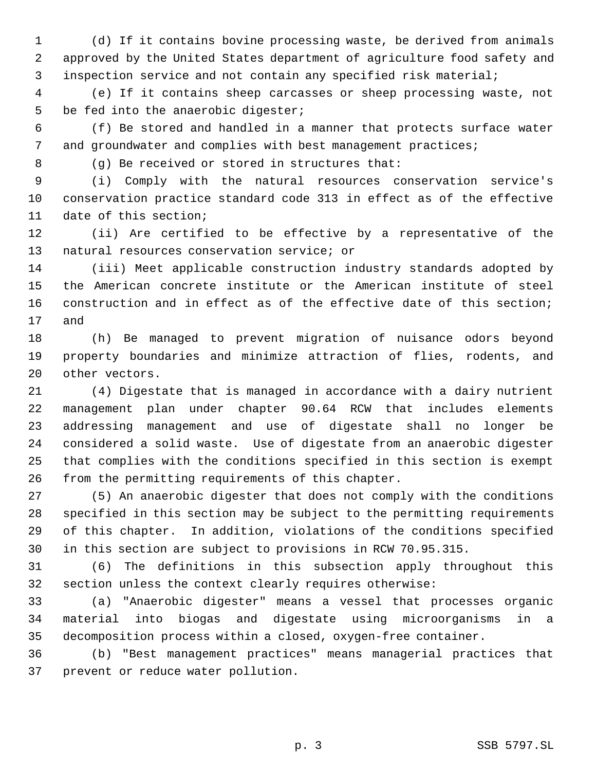(d) If it contains bovine processing waste, be derived from animals approved by the United States department of agriculture food safety and inspection service and not contain any specified risk material;

 (e) If it contains sheep carcasses or sheep processing waste, not 5 be fed into the anaerobic digester;

 (f) Be stored and handled in a manner that protects surface water 7 and groundwater and complies with best management practices;

(g) Be received or stored in structures that:

 (i) Comply with the natural resources conservation service's conservation practice standard code 313 in effect as of the effective date of this section;

 (ii) Are certified to be effective by a representative of the natural resources conservation service; or

 (iii) Meet applicable construction industry standards adopted by the American concrete institute or the American institute of steel construction and in effect as of the effective date of this section; and

 (h) Be managed to prevent migration of nuisance odors beyond property boundaries and minimize attraction of flies, rodents, and other vectors.

 (4) Digestate that is managed in accordance with a dairy nutrient management plan under chapter 90.64 RCW that includes elements addressing management and use of digestate shall no longer be considered a solid waste. Use of digestate from an anaerobic digester that complies with the conditions specified in this section is exempt from the permitting requirements of this chapter.

 (5) An anaerobic digester that does not comply with the conditions specified in this section may be subject to the permitting requirements of this chapter. In addition, violations of the conditions specified in this section are subject to provisions in RCW 70.95.315.

 (6) The definitions in this subsection apply throughout this section unless the context clearly requires otherwise:

 (a) "Anaerobic digester" means a vessel that processes organic material into biogas and digestate using microorganisms in a decomposition process within a closed, oxygen-free container.

 (b) "Best management practices" means managerial practices that prevent or reduce water pollution.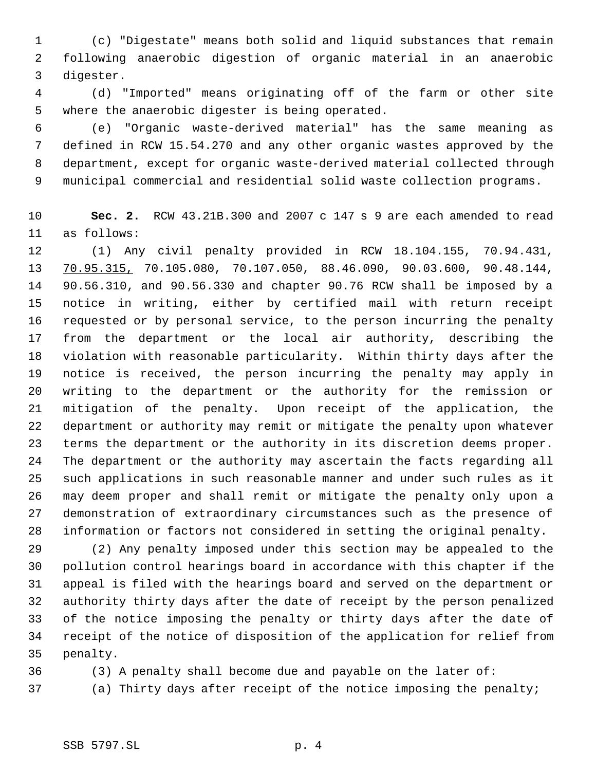(c) "Digestate" means both solid and liquid substances that remain following anaerobic digestion of organic material in an anaerobic digester.

 (d) "Imported" means originating off of the farm or other site where the anaerobic digester is being operated.

 (e) "Organic waste-derived material" has the same meaning as defined in RCW 15.54.270 and any other organic wastes approved by the department, except for organic waste-derived material collected through municipal commercial and residential solid waste collection programs.

 **Sec. 2.** RCW 43.21B.300 and 2007 c 147 s 9 are each amended to read as follows:

 (1) Any civil penalty provided in RCW 18.104.155, 70.94.431, 70.95.315, 70.105.080, 70.107.050, 88.46.090, 90.03.600, 90.48.144, 90.56.310, and 90.56.330 and chapter 90.76 RCW shall be imposed by a notice in writing, either by certified mail with return receipt requested or by personal service, to the person incurring the penalty from the department or the local air authority, describing the violation with reasonable particularity. Within thirty days after the notice is received, the person incurring the penalty may apply in writing to the department or the authority for the remission or mitigation of the penalty. Upon receipt of the application, the department or authority may remit or mitigate the penalty upon whatever terms the department or the authority in its discretion deems proper. The department or the authority may ascertain the facts regarding all such applications in such reasonable manner and under such rules as it may deem proper and shall remit or mitigate the penalty only upon a demonstration of extraordinary circumstances such as the presence of information or factors not considered in setting the original penalty.

 (2) Any penalty imposed under this section may be appealed to the pollution control hearings board in accordance with this chapter if the appeal is filed with the hearings board and served on the department or authority thirty days after the date of receipt by the person penalized of the notice imposing the penalty or thirty days after the date of receipt of the notice of disposition of the application for relief from penalty.

(3) A penalty shall become due and payable on the later of:

(a) Thirty days after receipt of the notice imposing the penalty;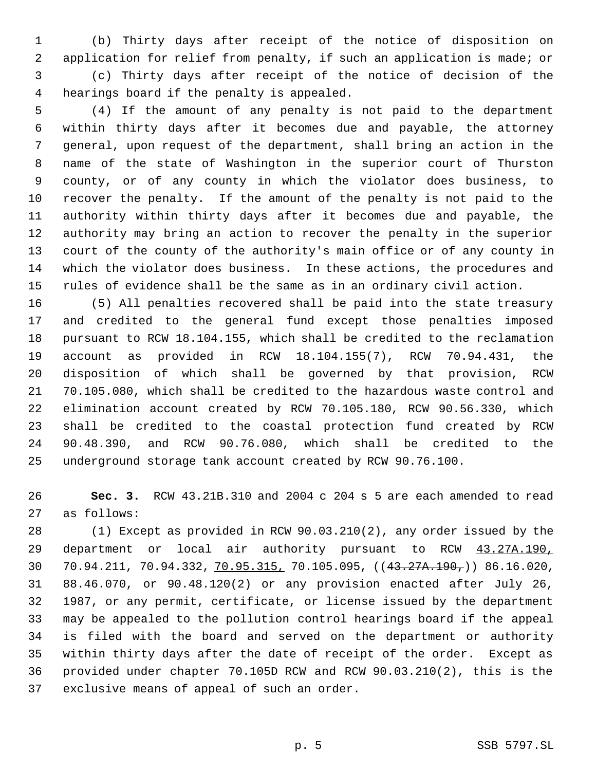(b) Thirty days after receipt of the notice of disposition on application for relief from penalty, if such an application is made; or (c) Thirty days after receipt of the notice of decision of the hearings board if the penalty is appealed.

 (4) If the amount of any penalty is not paid to the department within thirty days after it becomes due and payable, the attorney general, upon request of the department, shall bring an action in the name of the state of Washington in the superior court of Thurston county, or of any county in which the violator does business, to recover the penalty. If the amount of the penalty is not paid to the authority within thirty days after it becomes due and payable, the authority may bring an action to recover the penalty in the superior court of the county of the authority's main office or of any county in which the violator does business. In these actions, the procedures and rules of evidence shall be the same as in an ordinary civil action.

 (5) All penalties recovered shall be paid into the state treasury and credited to the general fund except those penalties imposed pursuant to RCW 18.104.155, which shall be credited to the reclamation account as provided in RCW 18.104.155(7), RCW 70.94.431, the disposition of which shall be governed by that provision, RCW 70.105.080, which shall be credited to the hazardous waste control and elimination account created by RCW 70.105.180, RCW 90.56.330, which shall be credited to the coastal protection fund created by RCW 90.48.390, and RCW 90.76.080, which shall be credited to the underground storage tank account created by RCW 90.76.100.

 **Sec. 3.** RCW 43.21B.310 and 2004 c 204 s 5 are each amended to read as follows:

 (1) Except as provided in RCW 90.03.210(2), any order issued by the department or local air authority pursuant to RCW 43.27A.190, 70.94.211, 70.94.332, 70.95.315, 70.105.095, ((43.27A.190,)) 86.16.020, 88.46.070, or 90.48.120(2) or any provision enacted after July 26, 1987, or any permit, certificate, or license issued by the department may be appealed to the pollution control hearings board if the appeal is filed with the board and served on the department or authority within thirty days after the date of receipt of the order. Except as provided under chapter 70.105D RCW and RCW 90.03.210(2), this is the exclusive means of appeal of such an order.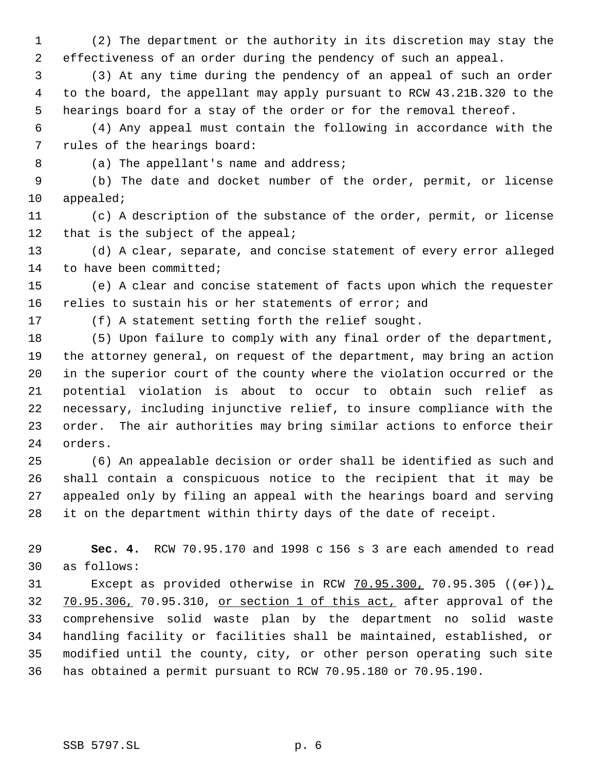(2) The department or the authority in its discretion may stay the effectiveness of an order during the pendency of such an appeal.

 (3) At any time during the pendency of an appeal of such an order to the board, the appellant may apply pursuant to RCW 43.21B.320 to the hearings board for a stay of the order or for the removal thereof.

 (4) Any appeal must contain the following in accordance with the rules of the hearings board:

8 (a) The appellant's name and address;

 (b) The date and docket number of the order, permit, or license appealed;

 (c) A description of the substance of the order, permit, or license 12 that is the subject of the appeal;

 (d) A clear, separate, and concise statement of every error alleged 14 to have been committed;

 (e) A clear and concise statement of facts upon which the requester relies to sustain his or her statements of error; and

(f) A statement setting forth the relief sought.

 (5) Upon failure to comply with any final order of the department, the attorney general, on request of the department, may bring an action in the superior court of the county where the violation occurred or the potential violation is about to occur to obtain such relief as necessary, including injunctive relief, to insure compliance with the order. The air authorities may bring similar actions to enforce their orders.

 (6) An appealable decision or order shall be identified as such and shall contain a conspicuous notice to the recipient that it may be appealed only by filing an appeal with the hearings board and serving it on the department within thirty days of the date of receipt.

 **Sec. 4.** RCW 70.95.170 and 1998 c 156 s 3 are each amended to read as follows:

31 Except as provided otherwise in RCW  $70.95.300$ ,  $70.95.305$  (( $\Theta$ r)) 32 70.95.306, 70.95.310, or section 1 of this act, after approval of the comprehensive solid waste plan by the department no solid waste handling facility or facilities shall be maintained, established, or modified until the county, city, or other person operating such site has obtained a permit pursuant to RCW 70.95.180 or 70.95.190.